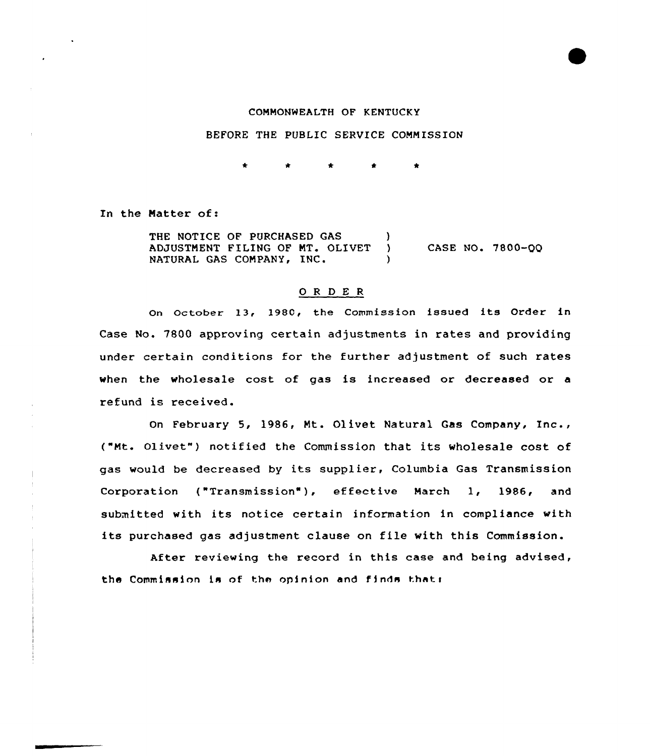## COMMONWEALTH OF KENTUCKY

### BEFORE THE PUBLIC SERVICE COMMISSION

In the Matter of:

THE NOTICE OF PURCHASED GAS )<br>ADJUSTMENT FILING OF MT. OLIVET ) ADJUSTMENT FILING OF MT. OLIVET NATURAL GAS COMPANY, INC. (a) CASE NO. 7800-QQ

#### 0 <sup>R</sup> <sup>D</sup> E <sup>R</sup>

On october 13, 198C, the Commission issued its Order in Case No. 7800 approving certain adjustments in rates and providing under certain conditions for the further adjustment of such rates when the wholesale cost of gas is increased or decreased or a refund is received.

On February 5, 1986, Mt. Olivet Natural Gas Company, Inc., ("Mt. Olivet") notified the Commission that its wholesale cost of gas would be decreased by its supplier, Columbia Gas Transmission Corporation {"Transmission"), effective March 1, 1986, and submitted with its notice certain information in compliance with its purchased gas adjustment clause on file with this Commission.

After reviewing the record in this case and being advised, the Commission is of the opinion and finds that: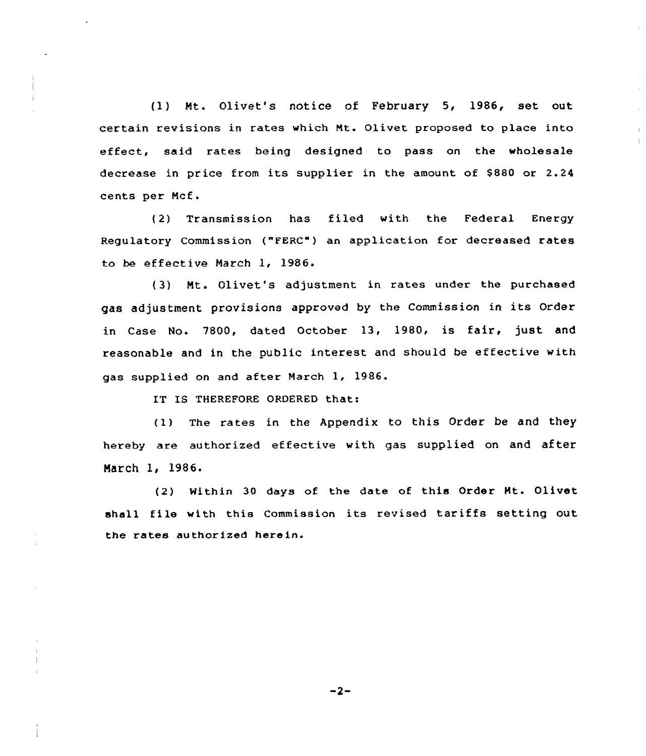(1) Mt. Olivet's notice of February 5, 1986, set out certain revisions in rates which Nt. Olivet proposed to place into effect, said rates being designed to pass on the wholesale decrease in price from its supplier in the amount of \$880 or 2.24 cents per Ncf.

(2) Transmission has filed with the Federal Energy Regulatory Commission ("FERC") an application for decreased rates to be effective March 1, 1986.

(3) Mt. Olivet's adjustment in rates under the purchased gas adjustment provisiona approved by the Commission in its Order in Case No. 7800, dated October 13, 1980, is fair, just and reasonable and in the public interest and should be effective with gas supplied on and after March 1, 1986.

IT IS THEREFORE ORDERED that:

(1) The rates in the Appendix to this Order be and they hereby are authorized effective with gas supplied on and after March 1, 1986.

(2) Within 30 days of the date of this Order Mt. Olivet shall file with this Commission its revised tariffs setting out the rates authorized herein.

 $-2-$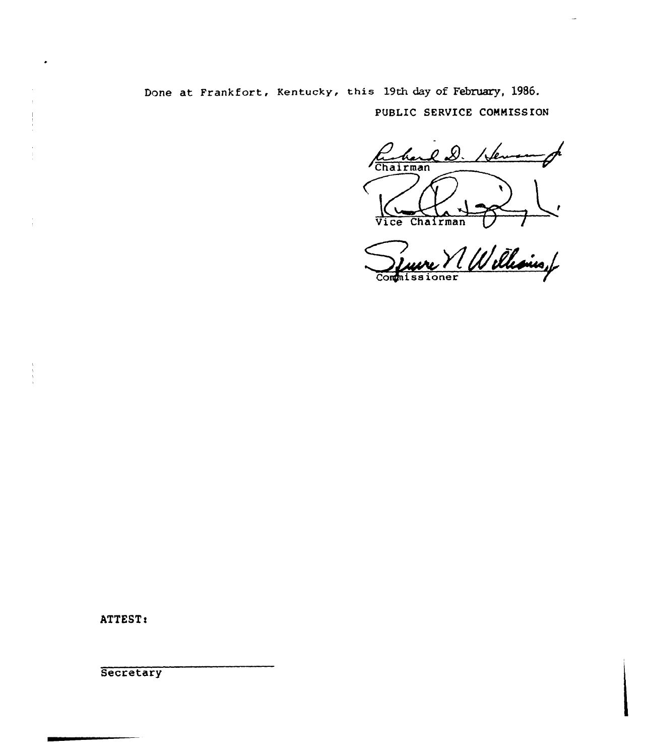Done at Frankfort, Kentucky, this 19th day of February, 1986. PUBLIC SERVICE COMMISSION

Q D. Chairman Vice Chairman

V Williams of Commissioner

ATTEST:

Secretary